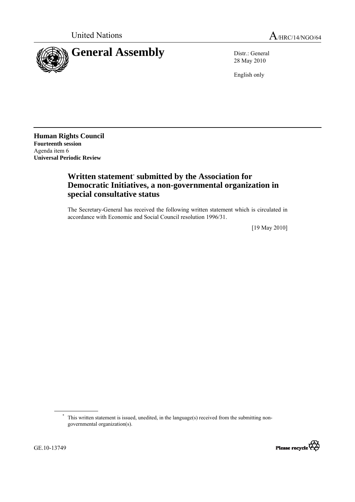



28 May 2010

English only

**Human Rights Council Fourteenth session**  Agenda item 6 **Universal Periodic Review** 

## **Written statement**\*  **submitted by the Association for Democratic Initiatives, a non-governmental organization in special consultative status**

The Secretary-General has received the following written statement which is circulated in accordance with Economic and Social Council resolution 1996/31.

[19 May 2010]

<sup>\*</sup> This written statement is issued, unedited, in the language(s) received from the submitting nongovernmental organization(s).

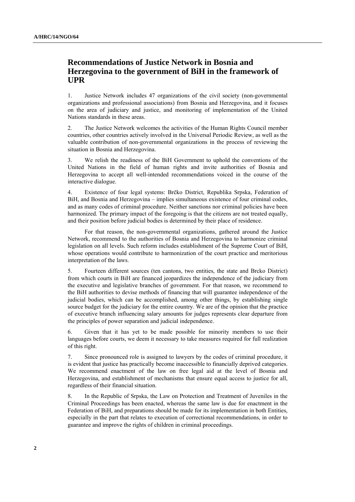## **Recommendations of Justice Network in Bosnia and Herzegovina to the government of BiH in the framework of UPR**

1. Justice Network includes 47 organizations of the civil society (non-governmental organizations and professional associations) from Bosnia and Herzegovina, and it focuses on the area of judiciary and justice, and monitoring of implementation of the United Nations standards in these areas.

2. The Justice Network welcomes the activities of the Human Rights Council member countries, other countries actively involved in the Universal Periodic Review, as well as the valuable contribution of non-governmental organizations in the process of reviewing the situation in Bosnia and Herzegovina.

3. We relish the readiness of the BiH Government to uphold the conventions of the United Nations in the field of human rights and invite authorities of Bosnia and Herzegovina to accept all well-intended recommendations voiced in the course of the interactive dialogue.

4. Existence of four legal systems: Brčko District, Republika Srpska, Federation of BiH, and Bosnia and Herzegovina – implies simultaneous existence of four criminal codes, and as many codes of criminal procedure. Neither sanctions nor criminal policies have been harmonized. The primary impact of the foregoing is that the citizens are not treated equally, and their position before judicial bodies is determined by their place of residence.

 For that reason, the non-governmental organizations, gathered around the Justice Network, recommend to the authorities of Bosnia and Herzegovina to harmonize criminal legislation on all levels. Such reform includes establishment of the Supreme Court of BiH, whose operations would contribute to harmonization of the court practice and meritorious interpretation of the laws.

5. Fourteen different sources (ten cantons, two entities, the state and Brcko District) from which courts in BiH are financed jeopardizes the independence of the judiciary from the executive and legislative branches of government. For that reason, we recommend to the BiH authorities to devise methods of financing that will guarantee independence of the judicial bodies, which can be accomplished, among other things, by establishing single source budget for the judiciary for the entire country. We are of the opinion that the practice of executive branch influencing salary amounts for judges represents clear departure from the principles of power separation and judicial independence.

6. Given that it has yet to be made possible for minority members to use their languages before courts, we deem it necessary to take measures required for full realization of this right.

7. Since pronounced role is assigned to lawyers by the codes of criminal procedure, it is evident that justice has practically become inaccessible to financially deprived categories. We recommend enactment of the law on free legal aid at the level of Bosnia and Herzegovina, and establishment of mechanisms that ensure equal access to justice for all, regardless of their financial situation.

8. In the Republic of Srpska, the Law on Protection and Treatment of Juveniles in the Criminal Proceedings has been enacted, whereas the same law is due for enactment in the Federation of BiH, and preparations should be made for its implementation in both Entities, especially in the part that relates to execution of correctional recommendations, in order to guarantee and improve the rights of children in criminal proceedings.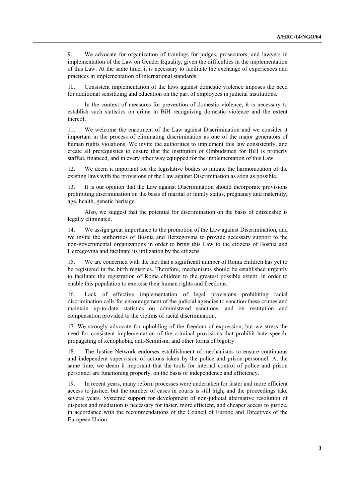9. We advocate for organization of trainings for judges, prosecutors, and lawyers in implementation of the Law on Gender Equality, given the difficulties in the implementation of this Law. At the same time, it is necessary to facilitate the exchange of experiences and practices in implementation of international standards.

10. Consistent implementation of the laws against domestic violence imposes the need for additional sensitizing and education on the part of employees in judicial institutions.

 In the context of measures for prevention of domestic violence, it is necessary to establish such statistics on crime in BiH recognizing domestic violence and the extent thereof.

11. We welcome the enactment of the Law against Discrimination and we consider it important in the process of eliminating discrimination as one of the major generators of human rights violations. We invite the authorities to implement this law consistently, and create all prerequisites to ensure that the institution of Ombudsmen for BiH is properly staffed, financed, and in every other way equipped for the implementation of this Law.

12. We deem it important for the legislative bodies to initiate the harmonization of the existing laws with the provisions of the Law against Discrimination as soon as possible.

13. It is our opinion that the Law against Discrimination should incorporate provisions prohibiting discrimination on the basis of marital or family status, pregnancy and maternity, age, health, genetic heritage.

 Also, we suggest that the potential for discrimination on the basis of citizenship is legally eliminated.

14. We assign great importance to the promotion of the Law against Discrimination, and we invite the authorities of Bosnia and Herzegovina to provide necessary support to the non-governmental organizations in order to bring this Law to the citizens of Bosnia and Herzegovina and facilitate its utilization by the citizens.

15. We are concerned with the fact that a significant number of Roma children has yet to be registered in the birth registries. Therefore, mechanisms should be established urgently to facilitate the registration of Roma children to the greatest possible extent, in order to enable this population to exercise their human rights and freedoms.

16. Lack of effective implementation of legal provisions prohibiting racial discrimination calls for encouragement of the judicial agencies to sanction these crimes and maintain up-to-date statistics on administered sanctions, and on restitution and compensation provided to the victims of racial discrimination.

17. We strongly advocate for upholding of the freedom of expression, but we stress the need for consistent implementation of the criminal provisions that prohibit hate speech, propagating of xenophobia, anti-Semitism, and other forms of bigotry.

18. The Justice Network endorses establishment of mechanisms to ensure continuous and independent supervision of actions taken by the police and prison personnel. At the same time, we deem it important that the tools for internal control of police and prison personnel are functioning properly, on the basis of independence and efficiency.

19. In recent years, many reform processes were undertaken for faster and more efficient access to justice, but the number of cases in courts is still high, and the proceedings take several years. Systemic support for development of non-judicial alternative resolution of disputes and mediation is necessary for faster, more efficient, and cheaper access to justice, in accordance with the recommendations of the Council of Europe and Directives of the European Union.